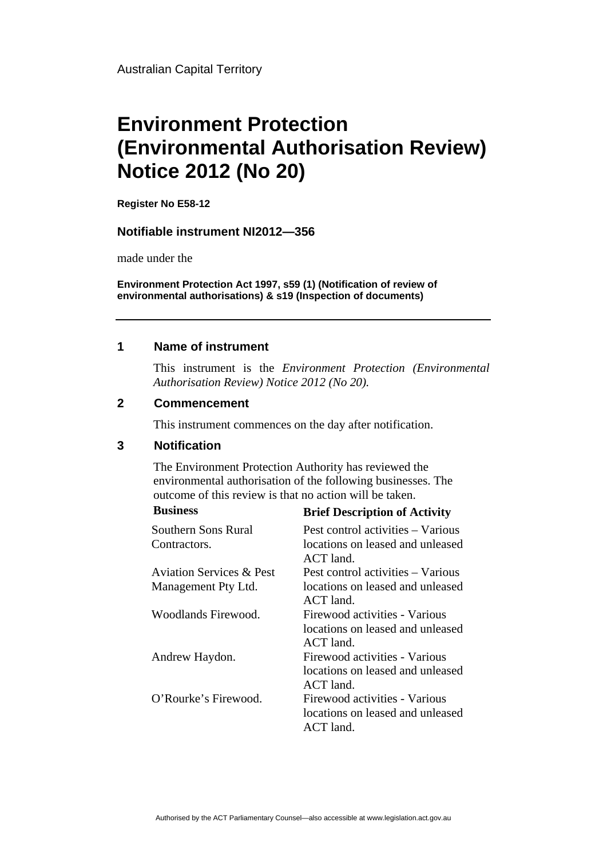Australian Capital Territory

# **Environment Protection (Environmental Authorisation Review) Notice 2012 (No 20)**

**Register No E58-12**

#### **Notifiable instrument NI2012—356**

made under the

**Environment Protection Act 1997, s59 (1) (Notification of review of environmental authorisations) & s19 (Inspection of documents)**

#### **1 Name of instrument**

This instrument is the *Environment Protection (Environmental Authorisation Review) Notice 2012 (No 20).* 

#### **2 Commencement**

This instrument commences on the day after notification.

### **3 Notification**

The Environment Protection Authority has reviewed the environmental authorisation of the following businesses. The outcome of this review is that no action will be taken.

**Business Brief Description of Activity** 

|                                     | DIRI Description of Activity                                                   |
|-------------------------------------|--------------------------------------------------------------------------------|
| Southern Sons Rural                 | Pest control activities – Various                                              |
| Contractors.                        | locations on leased and unleased<br>ACT land.                                  |
| <b>Aviation Services &amp; Pest</b> | Pest control activities – Various                                              |
| Management Pty Ltd.                 | locations on leased and unleased<br>ACT land.                                  |
| Woodlands Firewood.                 | Firewood activities - Various<br>locations on leased and unleased<br>ACT land. |
| Andrew Haydon.                      | Firewood activities - Various<br>locations on leased and unleased<br>ACT land. |
| O'Rourke's Firewood.                | Firewood activities - Various<br>locations on leased and unleased<br>ACT land. |